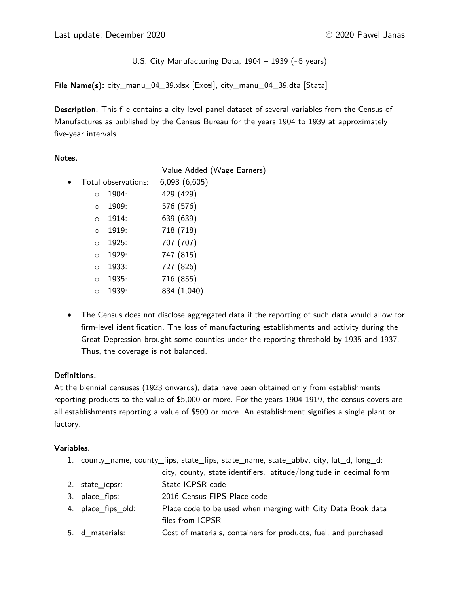U.S. City Manufacturing Data,  $1904 - 1939$  (~5 years)

File Name(s): city\_manu\_04\_39.xlsx [Excel], city\_manu\_04\_39.dta [Stata]

Description. This file contains a city-level panel dataset of several variables from the Census of Manufactures as published by the Census Bureau for the years 1904 to 1939 at approximately five-year intervals.

### Notes.

|           |                     |       | Value Added (Wage Earners) |
|-----------|---------------------|-------|----------------------------|
| $\bullet$ | Total observations: |       | 6,093(6,605)               |
|           | $\circ$             | 1904: | 429 (429)                  |
|           | $\circ$             | 1909: | 576 (576)                  |
|           | $\circ$             | 1914: | 639 (639)                  |
|           | $\circ$             | 1919: | 718 (718)                  |
|           | $\circ$             | 1925: | 707 (707)                  |
|           | $\circ$             | 1929: | 747 (815)                  |
|           | $\circ$             | 1933: | 727 (826)                  |
|           | $\circ$             | 1935: | 716 (855)                  |
|           | $\Omega$            | 1939: | 834 (1,040)                |
|           |                     |       |                            |

• The Census does not disclose aggregated data if the reporting of such data would allow for firm-level identification. The loss of manufacturing establishments and activity during the Great Depression brought some counties under the reporting threshold by 1935 and 1937. Thus, the coverage is not balanced.

# Definitions.

At the biennial censuses (1923 onwards), data have been obtained only from establishments reporting products to the value of \$5,000 or more. For the years 1904-1919, the census covers are all establishments reporting a value of \$500 or more. An establishment signifies a single plant or factory.

### Variables.

- 1. county\_name, county\_fips, state\_fips, state\_name, state\_abbv, city, lat\_d, long\_d:
	- city, county, state identifiers, latitude/longitude in decimal form
- 2. state\_icpsr: State ICPSR code
- 3. place\_fips: 2016 Census FIPS Place code
- 4. place\_fips\_old: Place code to be used when merging with City Data Book data files from ICPSR
- 5. d\_materials: Cost of materials, containers for products, fuel, and purchased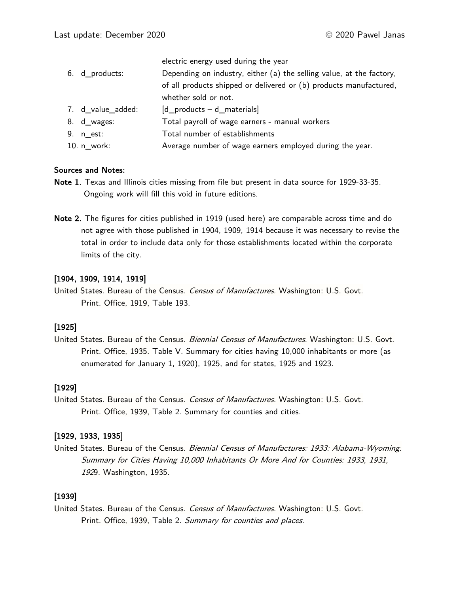| 6. d_products:    | electric energy used during the year<br>Depending on industry, either (a) the selling value, at the factory, |
|-------------------|--------------------------------------------------------------------------------------------------------------|
|                   | of all products shipped or delivered or (b) products manufactured,                                           |
|                   | whether sold or not.                                                                                         |
| 7. d_value_added: | $[d$ products $-d$ materials                                                                                 |
| 8. d_wages:       | Total payroll of wage earners - manual workers                                                               |
| 9. $n$ est:       | Total number of establishments                                                                               |
| 10. $n$ work:     | Average number of wage earners employed during the year.                                                     |

#### Sources and Notes:

- Note 1. Texas and Illinois cities missing from file but present in data source for 1929-33-35. Ongoing work will fill this void in future editions.
- Note 2. The figures for cities published in 1919 (used here) are comparable across time and do not agree with those published in 1904, 1909, 1914 because it was necessary to revise the total in order to include data only for those establishments located within the corporate limits of the city.

### [1904, 1909, 1914, 1919]

United States. Bureau of the Census. Census of Manufactures. Washington: U.S. Govt. Print. Office, 1919, Table 193.

# [1925]

United States. Bureau of the Census. Biennial Census of Manufactures. Washington: U.S. Govt. Print. Office, 1935. Table V. Summary for cities having 10,000 inhabitants or more (as enumerated for January 1, 1920), 1925, and for states, 1925 and 1923.

### [1929]

United States. Bureau of the Census. Census of Manufactures. Washington: U.S. Govt. Print. Office, 1939, Table 2. Summary for counties and cities.

### [1929, 1933, 1935]

United States. Bureau of the Census. Biennial Census of Manufactures: 1933: Alabama-Wyoming. Summary for Cities Having 10,000 Inhabitants Or More And for Counties: 1933, 1931, <sup>192</sup>9. Washington, 1935.

# [1939]

United States. Bureau of the Census. Census of Manufactures. Washington: U.S. Govt. Print. Office, 1939, Table 2. Summary for counties and places.